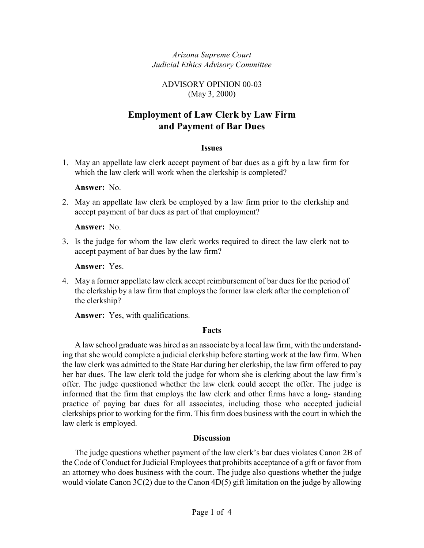*Arizona Supreme Court Judicial Ethics Advisory Committee*

#### ADVISORY OPINION 00-03 (May 3, 2000)

# **Employment of Law Clerk by Law Firm and Payment of Bar Dues**

#### **Issues**

1. May an appellate law clerk accept payment of bar dues as a gift by a law firm for which the law clerk will work when the clerkship is completed?

**Answer:** No.

2. May an appellate law clerk be employed by a law firm prior to the clerkship and accept payment of bar dues as part of that employment?

**Answer:** No.

3. Is the judge for whom the law clerk works required to direct the law clerk not to accept payment of bar dues by the law firm?

**Answer:** Yes.

4. May a former appellate law clerk accept reimbursement of bar dues for the period of the clerkship by a law firm that employs the former law clerk after the completion of the clerkship?

**Answer:** Yes, with qualifications.

#### **Facts**

A law school graduate was hired as an associate by a local law firm, with the understanding that she would complete a judicial clerkship before starting work at the law firm. When the law clerk was admitted to the State Bar during her clerkship, the law firm offered to pay her bar dues. The law clerk told the judge for whom she is clerking about the law firm's offer. The judge questioned whether the law clerk could accept the offer. The judge is informed that the firm that employs the law clerk and other firms have a long- standing practice of paying bar dues for all associates, including those who accepted judicial clerkships prior to working for the firm. This firm does business with the court in which the law clerk is employed.

#### **Discussion**

The judge questions whether payment of the law clerk's bar dues violates Canon 2B of the Code of Conduct for Judicial Employees that prohibits acceptance of a gift or favor from an attorney who does business with the court. The judge also questions whether the judge would violate Canon 3C(2) due to the Canon 4D(5) gift limitation on the judge by allowing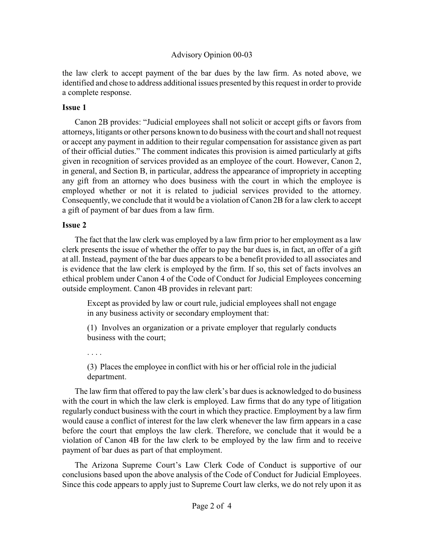#### Advisory Opinion 00-03

the law clerk to accept payment of the bar dues by the law firm. As noted above, we identified and chose to address additional issues presented by this request in order to provide a complete response.

#### **Issue 1**

Canon 2B provides: "Judicial employees shall not solicit or accept gifts or favors from attorneys, litigants or other persons known to do business with the court and shall not request or accept any payment in addition to their regular compensation for assistance given as part of their official duties." The comment indicates this provision is aimed particularly at gifts given in recognition of services provided as an employee of the court. However, Canon 2, in general, and Section B, in particular, address the appearance of impropriety in accepting any gift from an attorney who does business with the court in which the employee is employed whether or not it is related to judicial services provided to the attorney. Consequently, we conclude that it would be a violation of Canon 2B for a law clerk to accept a gift of payment of bar dues from a law firm.

#### **Issue 2**

The fact that the law clerk was employed by a law firm prior to her employment as a law clerk presents the issue of whether the offer to pay the bar dues is, in fact, an offer of a gift at all. Instead, payment of the bar dues appears to be a benefit provided to all associates and is evidence that the law clerk is employed by the firm. If so, this set of facts involves an ethical problem under Canon 4 of the Code of Conduct for Judicial Employees concerning outside employment. Canon 4B provides in relevant part:

Except as provided by law or court rule, judicial employees shall not engage in any business activity or secondary employment that:

(1) Involves an organization or a private employer that regularly conducts business with the court;

. . . .

(3) Places the employee in conflict with his or her official role in the judicial department.

The law firm that offered to pay the law clerk's bar dues is acknowledged to do business with the court in which the law clerk is employed. Law firms that do any type of litigation regularly conduct business with the court in which they practice. Employment by a law firm would cause a conflict of interest for the law clerk whenever the law firm appears in a case before the court that employs the law clerk. Therefore, we conclude that it would be a violation of Canon 4B for the law clerk to be employed by the law firm and to receive payment of bar dues as part of that employment.

The Arizona Supreme Court's Law Clerk Code of Conduct is supportive of our conclusions based upon the above analysis of the Code of Conduct for Judicial Employees. Since this code appears to apply just to Supreme Court law clerks, we do not rely upon it as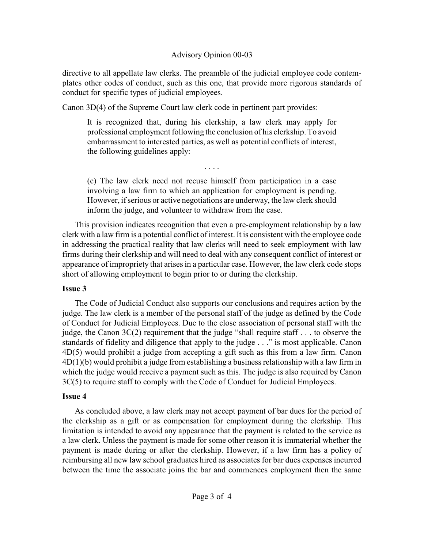## Advisory Opinion 00-03

directive to all appellate law clerks. The preamble of the judicial employee code contemplates other codes of conduct, such as this one, that provide more rigorous standards of conduct for specific types of judicial employees.

Canon 3D(4) of the Supreme Court law clerk code in pertinent part provides:

It is recognized that, during his clerkship, a law clerk may apply for professional employment following the conclusion of his clerkship. To avoid embarrassment to interested parties, as well as potential conflicts of interest, the following guidelines apply:

(c) The law clerk need not recuse himself from participation in a case involving a law firm to which an application for employment is pending. However, if serious or active negotiations are underway, the law clerk should inform the judge, and volunteer to withdraw from the case.

. . . .

This provision indicates recognition that even a pre-employment relationship by a law clerk with a law firm is a potential conflict of interest. It is consistent with the employee code in addressing the practical reality that law clerks will need to seek employment with law firms during their clerkship and will need to deal with any consequent conflict of interest or appearance of impropriety that arises in a particular case. However, the law clerk code stops short of allowing employment to begin prior to or during the clerkship.

## **Issue 3**

The Code of Judicial Conduct also supports our conclusions and requires action by the judge. The law clerk is a member of the personal staff of the judge as defined by the Code of Conduct for Judicial Employees. Due to the close association of personal staff with the judge, the Canon 3C(2) requirement that the judge "shall require staff . . . to observe the standards of fidelity and diligence that apply to the judge . . ." is most applicable. Canon 4D(5) would prohibit a judge from accepting a gift such as this from a law firm. Canon 4D(1)(b) would prohibit a judge from establishing a business relationship with a law firm in which the judge would receive a payment such as this. The judge is also required by Canon 3C(5) to require staff to comply with the Code of Conduct for Judicial Employees.

## **Issue 4**

As concluded above, a law clerk may not accept payment of bar dues for the period of the clerkship as a gift or as compensation for employment during the clerkship. This limitation is intended to avoid any appearance that the payment is related to the service as a law clerk. Unless the payment is made for some other reason it is immaterial whether the payment is made during or after the clerkship. However, if a law firm has a policy of reimbursing all new law school graduates hired as associates for bar dues expenses incurred between the time the associate joins the bar and commences employment then the same